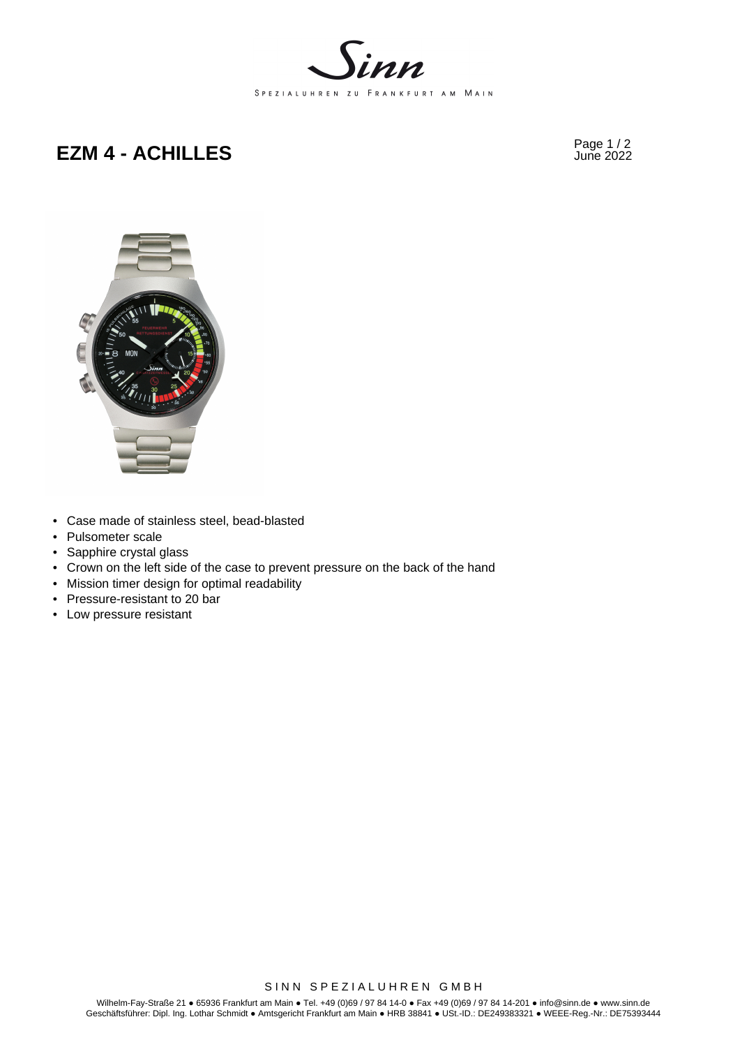

# Page 1 / 2 **EZM 4 - ACHILLES** June 2022



- Case made of stainless steel, bead-blasted
- Pulsometer scale
- Sapphire crystal glass
- Crown on the left side of the case to prevent pressure on the back of the hand
- Mission timer design for optimal readability
- Pressure-resistant to 20 bar
- Low pressure resistant

SINN SPEZIALUHREN GMBH